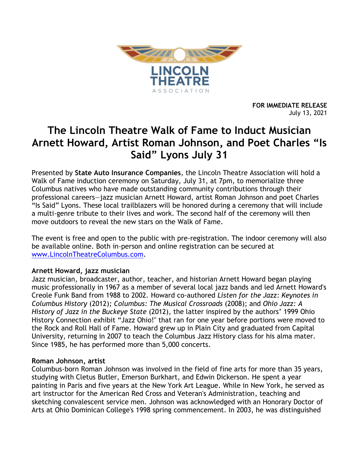

**FOR IMMEDIATE RELEASE** July 13, 2021

# **The Lincoln Theatre Walk of Fame to Induct Musician Arnett Howard, Artist Roman Johnson, and Poet Charles "Is Said" Lyons July 31**

Presented by **State Auto Insurance Companies**, the Lincoln Theatre Association will hold a Walk of Fame induction ceremony on Saturday, July 31, at 7pm, to memorialize three Columbus natives who have made outstanding community contributions through their professional careers—jazz musician Arnett Howard, artist Roman Johnson and poet Charles "Is Said" Lyons. These local trailblazers will be honored during a ceremony that will include a multi-genre tribute to their lives and work. The second half of the ceremony will then move outdoors to reveal the new stars on the Walk of Fame.

The event is free and open to the public with pre-registration. The indoor ceremony will also be available online. Both in-person and online registration can be secured at [www.LincolnTheatreColumbus.com.](http://www.lincolntheatrecolumbus.com/)

### **Arnett Howard, jazz musician**

Jazz musician, broadcaster, author, teacher, and historian Arnett Howard began playing music professionally in 1967 as a member of several local jazz bands and led Arnett Howard's Creole Funk Band from 1988 to 2002. Howard co-authored *Listen for the Jazz: Keynotes in Columbus History* (2012)*; Columbus: The Musical Crossroads* (2008); and *Ohio Jazz: A History of Jazz in the Buckeye State* (2012), the latter inspired by the authors' 1999 Ohio History Connection exhibit "Jazz Ohio!" that ran for one year before portions were moved to the Rock and Roll Hall of Fame. Howard grew up in Plain City and graduated from Capital University, returning in 2007 to teach the Columbus Jazz History class for his alma mater. Since 1985, he has performed more than 5,000 concerts.

### **Roman Johnson, artist**

Columbus-born Roman Johnson was involved in the field of fine arts for more than 35 years, studying with Cletus Butler, Emerson Burkhart, and Edwin Dickerson. He spent a year painting in Paris and five years at the New York Art League. While in New York, he served as art instructor for the American Red Cross and Veteran's Administration, teaching and sketching convalescent service men. Johnson was acknowledged with an Honorary Doctor of Arts at Ohio Dominican College's 1998 spring commencement. In 2003, he was distinguished